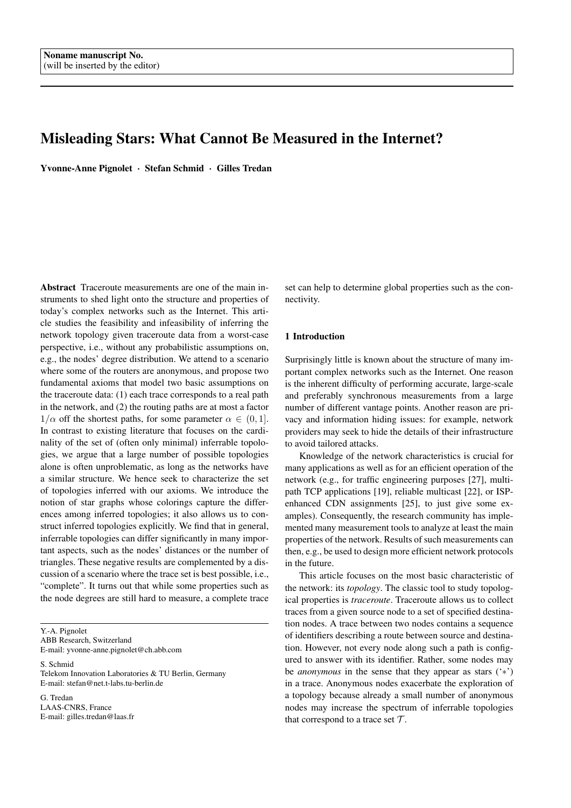# Misleading Stars: What Cannot Be Measured in the Internet?

Yvonne-Anne Pignolet · Stefan Schmid · Gilles Tredan

Abstract Traceroute measurements are one of the main instruments to shed light onto the structure and properties of today's complex networks such as the Internet. This article studies the feasibility and infeasibility of inferring the network topology given traceroute data from a worst-case perspective, i.e., without any probabilistic assumptions on, e.g., the nodes' degree distribution. We attend to a scenario where some of the routers are anonymous, and propose two fundamental axioms that model two basic assumptions on the traceroute data: (1) each trace corresponds to a real path in the network, and (2) the routing paths are at most a factor  $1/\alpha$  off the shortest paths, for some parameter  $\alpha \in (0, 1]$ . In contrast to existing literature that focuses on the cardinality of the set of (often only minimal) inferrable topologies, we argue that a large number of possible topologies alone is often unproblematic, as long as the networks have a similar structure. We hence seek to characterize the set of topologies inferred with our axioms. We introduce the notion of star graphs whose colorings capture the differences among inferred topologies; it also allows us to construct inferred topologies explicitly. We find that in general, inferrable topologies can differ significantly in many important aspects, such as the nodes' distances or the number of triangles. These negative results are complemented by a discussion of a scenario where the trace set is best possible, i.e., "complete". It turns out that while some properties such as the node degrees are still hard to measure, a complete trace

Y.-A. Pignolet ABB Research, Switzerland E-mail: yvonne-anne.pignolet@ch.abb.com

S. Schmid Telekom Innovation Laboratories & TU Berlin, Germany E-mail: stefan@net.t-labs.tu-berlin.de

G. Tredan LAAS-CNRS, France E-mail: gilles.tredan@laas.fr set can help to determine global properties such as the connectivity.

# 1 Introduction

Surprisingly little is known about the structure of many important complex networks such as the Internet. One reason is the inherent difficulty of performing accurate, large-scale and preferably synchronous measurements from a large number of different vantage points. Another reason are privacy and information hiding issues: for example, network providers may seek to hide the details of their infrastructure to avoid tailored attacks.

Knowledge of the network characteristics is crucial for many applications as well as for an efficient operation of the network (e.g., for traffic engineering purposes [27], multipath TCP applications [19], reliable multicast [22], or ISPenhanced CDN assignments [25], to just give some examples). Consequently, the research community has implemented many measurement tools to analyze at least the main properties of the network. Results of such measurements can then, e.g., be used to design more efficient network protocols in the future.

This article focuses on the most basic characteristic of the network: its *topology*. The classic tool to study topological properties is *traceroute*. Traceroute allows us to collect traces from a given source node to a set of specified destination nodes. A trace between two nodes contains a sequence of identifiers describing a route between source and destination. However, not every node along such a path is configured to answer with its identifier. Rather, some nodes may be *anonymous* in the sense that they appear as stars ('∗') in a trace. Anonymous nodes exacerbate the exploration of a topology because already a small number of anonymous nodes may increase the spectrum of inferrable topologies that correspond to a trace set  $\mathcal{T}$ .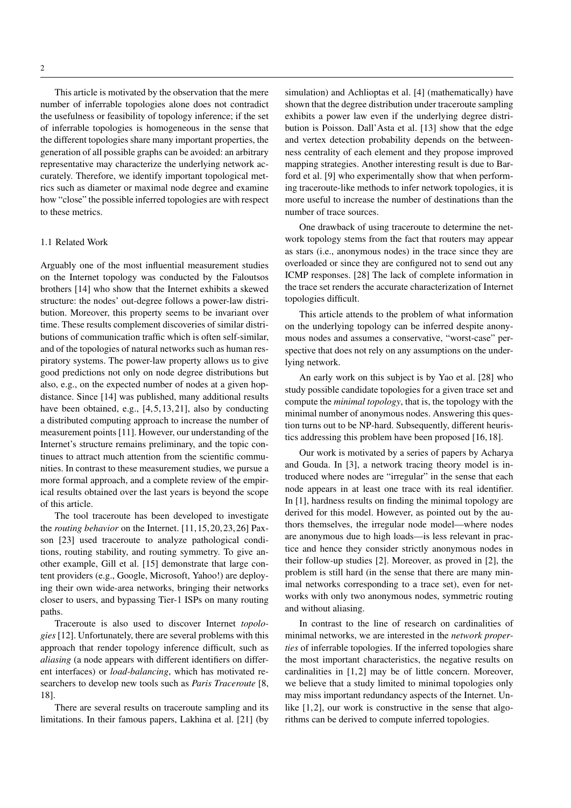This article is motivated by the observation that the mere number of inferrable topologies alone does not contradict the usefulness or feasibility of topology inference; if the set of inferrable topologies is homogeneous in the sense that the different topologies share many important properties, the generation of all possible graphs can be avoided: an arbitrary representative may characterize the underlying network accurately. Therefore, we identify important topological metrics such as diameter or maximal node degree and examine how "close" the possible inferred topologies are with respect to these metrics.

## 1.1 Related Work

Arguably one of the most influential measurement studies on the Internet topology was conducted by the Faloutsos brothers [14] who show that the Internet exhibits a skewed structure: the nodes' out-degree follows a power-law distribution. Moreover, this property seems to be invariant over time. These results complement discoveries of similar distributions of communication traffic which is often self-similar, and of the topologies of natural networks such as human respiratory systems. The power-law property allows us to give good predictions not only on node degree distributions but also, e.g., on the expected number of nodes at a given hopdistance. Since [14] was published, many additional results have been obtained, e.g.,  $[4, 5, 13, 21]$ , also by conducting a distributed computing approach to increase the number of measurement points [11]. However, our understanding of the Internet's structure remains preliminary, and the topic continues to attract much attention from the scientific communities. In contrast to these measurement studies, we pursue a more formal approach, and a complete review of the empirical results obtained over the last years is beyond the scope of this article.

The tool traceroute has been developed to investigate the *routing behavior* on the Internet. [11, 15, 20, 23, 26] Paxson [23] used traceroute to analyze pathological conditions, routing stability, and routing symmetry. To give another example, Gill et al. [15] demonstrate that large content providers (e.g., Google, Microsoft, Yahoo!) are deploying their own wide-area networks, bringing their networks closer to users, and bypassing Tier-1 ISPs on many routing paths.

Traceroute is also used to discover Internet *topologies* [12]. Unfortunately, there are several problems with this approach that render topology inference difficult, such as *aliasing* (a node appears with different identifiers on different interfaces) or *load-balancing*, which has motivated researchers to develop new tools such as *Paris Traceroute* [8, 18].

There are several results on traceroute sampling and its limitations. In their famous papers, Lakhina et al. [21] (by

simulation) and Achlioptas et al. [4] (mathematically) have shown that the degree distribution under traceroute sampling exhibits a power law even if the underlying degree distribution is Poisson. Dall'Asta et al. [13] show that the edge and vertex detection probability depends on the betweenness centrality of each element and they propose improved mapping strategies. Another interesting result is due to Barford et al. [9] who experimentally show that when performing traceroute-like methods to infer network topologies, it is more useful to increase the number of destinations than the number of trace sources.

One drawback of using traceroute to determine the network topology stems from the fact that routers may appear as stars (i.e., anonymous nodes) in the trace since they are overloaded or since they are configured not to send out any ICMP responses. [28] The lack of complete information in the trace set renders the accurate characterization of Internet topologies difficult.

This article attends to the problem of what information on the underlying topology can be inferred despite anonymous nodes and assumes a conservative, "worst-case" perspective that does not rely on any assumptions on the underlying network.

An early work on this subject is by Yao et al. [28] who study possible candidate topologies for a given trace set and compute the *minimal topology*, that is, the topology with the minimal number of anonymous nodes. Answering this question turns out to be NP-hard. Subsequently, different heuristics addressing this problem have been proposed [16, 18].

Our work is motivated by a series of papers by Acharya and Gouda. In [3], a network tracing theory model is introduced where nodes are "irregular" in the sense that each node appears in at least one trace with its real identifier. In [1], hardness results on finding the minimal topology are derived for this model. However, as pointed out by the authors themselves, the irregular node model—where nodes are anonymous due to high loads—is less relevant in practice and hence they consider strictly anonymous nodes in their follow-up studies [2]. Moreover, as proved in [2], the problem is still hard (in the sense that there are many minimal networks corresponding to a trace set), even for networks with only two anonymous nodes, symmetric routing and without aliasing.

In contrast to the line of research on cardinalities of minimal networks, we are interested in the *network properties* of inferrable topologies. If the inferred topologies share the most important characteristics, the negative results on cardinalities in [1, 2] may be of little concern. Moreover, we believe that a study limited to minimal topologies only may miss important redundancy aspects of the Internet. Unlike  $[1, 2]$ , our work is constructive in the sense that algorithms can be derived to compute inferred topologies.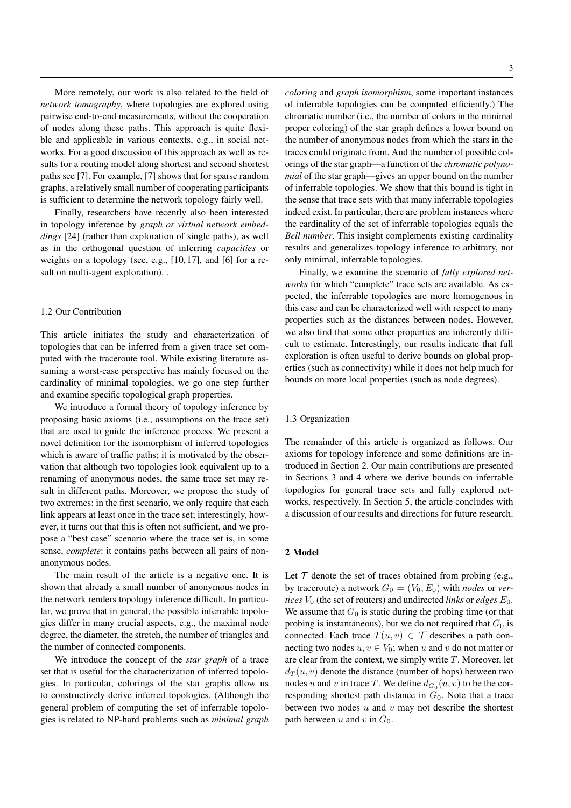More remotely, our work is also related to the field of *network tomography*, where topologies are explored using pairwise end-to-end measurements, without the cooperation of nodes along these paths. This approach is quite flexible and applicable in various contexts, e.g., in social networks. For a good discussion of this approach as well as results for a routing model along shortest and second shortest paths see [7]. For example, [7] shows that for sparse random graphs, a relatively small number of cooperating participants is sufficient to determine the network topology fairly well.

Finally, researchers have recently also been interested in topology inference by *graph or virtual network embeddings* [24] (rather than exploration of single paths), as well as in the orthogonal question of inferring *capacities* or weights on a topology (see, e.g., [10, 17], and [6] for a result on multi-agent exploration). .

# 1.2 Our Contribution

This article initiates the study and characterization of topologies that can be inferred from a given trace set computed with the traceroute tool. While existing literature assuming a worst-case perspective has mainly focused on the cardinality of minimal topologies, we go one step further and examine specific topological graph properties.

We introduce a formal theory of topology inference by proposing basic axioms (i.e., assumptions on the trace set) that are used to guide the inference process. We present a novel definition for the isomorphism of inferred topologies which is aware of traffic paths; it is motivated by the observation that although two topologies look equivalent up to a renaming of anonymous nodes, the same trace set may result in different paths. Moreover, we propose the study of two extremes: in the first scenario, we only require that each link appears at least once in the trace set; interestingly, however, it turns out that this is often not sufficient, and we propose a "best case" scenario where the trace set is, in some sense, *complete*: it contains paths between all pairs of nonanonymous nodes.

The main result of the article is a negative one. It is shown that already a small number of anonymous nodes in the network renders topology inference difficult. In particular, we prove that in general, the possible inferrable topologies differ in many crucial aspects, e.g., the maximal node degree, the diameter, the stretch, the number of triangles and the number of connected components.

We introduce the concept of the *star graph* of a trace set that is useful for the characterization of inferred topologies. In particular, colorings of the star graphs allow us to constructively derive inferred topologies. (Although the general problem of computing the set of inferrable topologies is related to NP-hard problems such as *minimal graph* *coloring* and *graph isomorphism*, some important instances of inferrable topologies can be computed efficiently.) The chromatic number (i.e., the number of colors in the minimal proper coloring) of the star graph defines a lower bound on the number of anonymous nodes from which the stars in the traces could originate from. And the number of possible colorings of the star graph—a function of the *chromatic polynomial* of the star graph—gives an upper bound on the number of inferrable topologies. We show that this bound is tight in the sense that trace sets with that many inferrable topologies indeed exist. In particular, there are problem instances where the cardinality of the set of inferrable topologies equals the *Bell number*. This insight complements existing cardinality results and generalizes topology inference to arbitrary, not only minimal, inferrable topologies.

Finally, we examine the scenario of *fully explored networks* for which "complete" trace sets are available. As expected, the inferrable topologies are more homogenous in this case and can be characterized well with respect to many properties such as the distances between nodes. However, we also find that some other properties are inherently difficult to estimate. Interestingly, our results indicate that full exploration is often useful to derive bounds on global properties (such as connectivity) while it does not help much for bounds on more local properties (such as node degrees).

## 1.3 Organization

The remainder of this article is organized as follows. Our axioms for topology inference and some definitions are introduced in Section 2. Our main contributions are presented in Sections 3 and 4 where we derive bounds on inferrable topologies for general trace sets and fully explored networks, respectively. In Section 5, the article concludes with a discussion of our results and directions for future research.

## 2 Model

Let  $T$  denote the set of traces obtained from probing (e.g., by traceroute) a network  $G_0 = (V_0, E_0)$  with *nodes* or *vertices*  $V_0$  (the set of routers) and undirected *links* or *edges*  $E_0$ . We assume that  $G_0$  is static during the probing time (or that probing is instantaneous), but we do not required that  $G_0$  is connected. Each trace  $T(u, v) \in \mathcal{T}$  describes a path connecting two nodes  $u, v \in V_0$ ; when u and v do not matter or are clear from the context, we simply write  $T$ . Moreover, let  $d_T(u, v)$  denote the distance (number of hops) between two nodes u and v in trace T. We define  $d_{G_0}(u, v)$  to be the corresponding shortest path distance in  $G_0$ . Note that a trace between two nodes  $u$  and  $v$  may not describe the shortest path between u and v in  $G_0$ .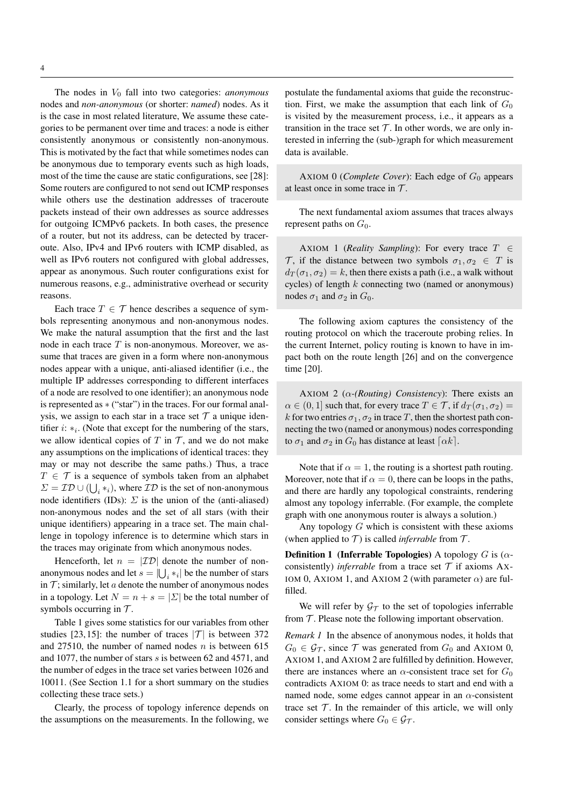The nodes in  $V_0$  fall into two categories: *anonymous* nodes and *non-anonymous* (or shorter: *named*) nodes. As it is the case in most related literature, We assume these categories to be permanent over time and traces: a node is either consistently anonymous or consistently non-anonymous. This is motivated by the fact that while sometimes nodes can be anonymous due to temporary events such as high loads, most of the time the cause are static configurations, see [28]: Some routers are configured to not send out ICMP responses while others use the destination addresses of traceroute packets instead of their own addresses as source addresses for outgoing ICMPv6 packets. In both cases, the presence of a router, but not its address, can be detected by traceroute. Also, IPv4 and IPv6 routers with ICMP disabled, as well as IPv6 routers not configured with global addresses, appear as anonymous. Such router configurations exist for numerous reasons, e.g., administrative overhead or security reasons.

Each trace  $T \in \mathcal{T}$  hence describes a sequence of symbols representing anonymous and non-anonymous nodes. We make the natural assumption that the first and the last node in each trace  $T$  is non-anonymous. Moreover, we assume that traces are given in a form where non-anonymous nodes appear with a unique, anti-aliased identifier (i.e., the multiple IP addresses corresponding to different interfaces of a node are resolved to one identifier); an anonymous node is represented as ∗ ("star") in the traces. For our formal analysis, we assign to each star in a trace set  $\mathcal T$  a unique identifier  $i: *_{i}$ . (Note that except for the numbering of the stars, we allow identical copies of  $T$  in  $\mathcal T$ , and we do not make any assumptions on the implications of identical traces: they may or may not describe the same paths.) Thus, a trace  $T \in \mathcal{T}$  is a sequence of symbols taken from an alphabet  $\Sigma = \mathcal{ID} \cup (\bigcup_i *_{i}),$  where  $\mathcal{ID}$  is the set of non-anonymous node identifiers (IDs):  $\Sigma$  is the union of the (anti-aliased) non-anonymous nodes and the set of all stars (with their unique identifiers) appearing in a trace set. The main challenge in topology inference is to determine which stars in the traces may originate from which anonymous nodes.

Henceforth, let  $n = | \mathcal{ID} |$  denote the number of nonanonymous nodes and let  $s = \left| \bigcup_i *_{i} \right|$  be the number of stars in  $\mathcal T$ ; similarly, let a denote the number of anonymous nodes in a topology. Let  $N = n + s = |\Sigma|$  be the total number of symbols occurring in  $\mathcal{T}$ .

Table 1 gives some statistics for our variables from other studies [23, 15]: the number of traces  $|\mathcal{T}|$  is between 372 and 27510, the number of named nodes  $n$  is between 615 and 1077, the number of stars s is between 62 and 4571, and the number of edges in the trace set varies between 1026 and 10011. (See Section 1.1 for a short summary on the studies collecting these trace sets.)

Clearly, the process of topology inference depends on the assumptions on the measurements. In the following, we

postulate the fundamental axioms that guide the reconstruction. First, we make the assumption that each link of  $G_0$ is visited by the measurement process, i.e., it appears as a transition in the trace set  $\mathcal T$ . In other words, we are only interested in inferring the (sub-)graph for which measurement data is available.

AXIOM 0 (*Complete Cover*): Each edge of  $G_0$  appears at least once in some trace in  $T$ .

The next fundamental axiom assumes that traces always represent paths on  $G_0$ .

AXIOM 1 (*Reality Sampling*): For every trace  $T \in$ T, if the distance between two symbols  $\sigma_1, \sigma_2 \in T$  is  $d_T(\sigma_1, \sigma_2) = k$ , then there exists a path (i.e., a walk without cycles) of length  $k$  connecting two (named or anonymous) nodes  $\sigma_1$  and  $\sigma_2$  in  $G_0$ .

The following axiom captures the consistency of the routing protocol on which the traceroute probing relies. In the current Internet, policy routing is known to have in impact both on the route length [26] and on the convergence time [20].

AXIOM 2 ( $\alpha$ -(Routing) Consistency): There exists an  $\alpha \in (0,1]$  such that, for every trace  $T \in \mathcal{T}$ , if  $d_T(\sigma_1, \sigma_2)$  = k for two entries  $\sigma_1, \sigma_2$  in trace T, then the shortest path connecting the two (named or anonymous) nodes corresponding to  $\sigma_1$  and  $\sigma_2$  in  $G_0$  has distance at least  $\lceil \alpha k \rceil$ .

Note that if  $\alpha = 1$ , the routing is a shortest path routing. Moreover, note that if  $\alpha = 0$ , there can be loops in the paths, and there are hardly any topological constraints, rendering almost any topology inferrable. (For example, the complete graph with one anonymous router is always a solution.)

Any topology  $G$  which is consistent with these axioms (when applied to  $T$ ) is called *inferrable* from  $T$ .

**Definition 1 (Inferrable Topologies)** A topology  $G$  is ( $\alpha$ consistently) *inferrable* from a trace set  $T$  if axioms Ax-IOM 0, AXIOM 1, and AXIOM 2 (with parameter  $\alpha$ ) are fulfilled.

We will refer by  $\mathcal{G}_{\mathcal{T}}$  to the set of topologies inferrable from  $T$ . Please note the following important observation.

*Remark 1* In the absence of anonymous nodes, it holds that  $G_0 \in \mathcal{G}_{\mathcal{T}}$ , since  $\mathcal{T}$  was generated from  $G_0$  and AXIOM 0, AXIOM 1, and AXIOM 2 are fulfilled by definition. However, there are instances where an  $\alpha$ -consistent trace set for  $G_0$ contradicts AXIOM 0: as trace needs to start and end with a named node, some edges cannot appear in an  $\alpha$ -consistent trace set  $T$ . In the remainder of this article, we will only consider settings where  $G_0 \in \mathcal{G}_{\mathcal{T}}$ .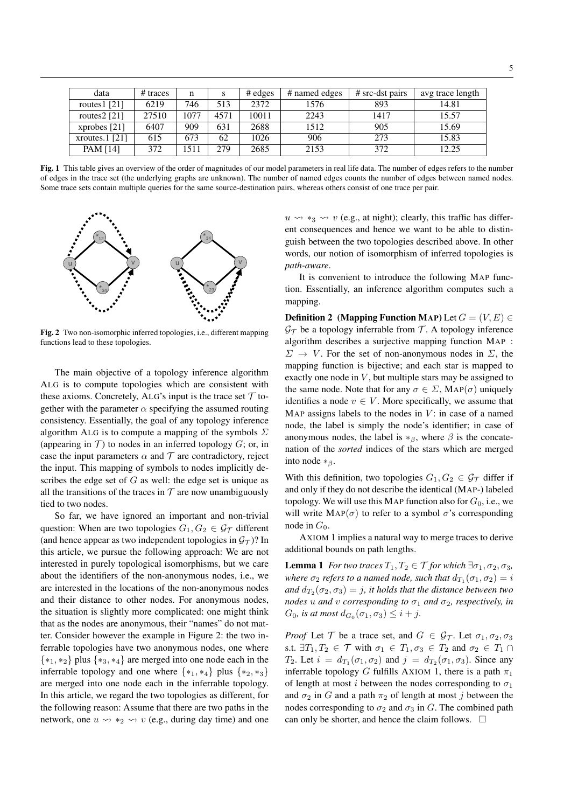| data              | $#$ traces | n    |      | $#$ edges | # named edges | # src-dst pairs | avg trace length |
|-------------------|------------|------|------|-----------|---------------|-----------------|------------------|
| routes $1$ [21]   | 6219       | 746  | 513  | 2372      | 1576          | 893             | 14.81            |
| routes $2$ [21]   | 27510      | 1077 | 4571 | 10011     | 2243          | 1417            | 15.57            |
| xprobes $[21]$    | 6407       | 909  | 631  | 2688      | 1512          | 905             | 15.69            |
| xroutes. $1$ [21] | 615        | 673  | 62   | 1026      | 906           | 273             | 15.83            |
| PAM [14]          | 372        | 1511 | 279  | 2685      | 2153          | 372             | 12.25            |

Fig. 1 This table gives an overview of the order of magnitudes of our model parameters in real life data. The number of edges refers to the number Fig. 1 This table gives an overview of the order of magnitudes of our model parameters in real life data. The number of edges refers to the number of edges in the trace set (the underlying graphs are unknown). The number o of edges in the trace set (the underlying graphs are unknown). The number of named edges counts the number of edges between named nodes. Some trace sets contain multiple queries for the same source-destination pairs, whereas others consist of one trace per pair.



Fig. 2 Two non-isomorphic inferred topologies, i.e., different mapping functions lead to these topologies.

The main objective of a topology inference algorithm ALG is to compute topologies which are consistent with these axioms. Concretely, ALG's input is the trace set  $\mathcal T$  together with the parameter  $\alpha$  specifying the assumed routing consistency. Essentially, the goal of any topology inference algorithm ALG is to compute a mapping of the symbols  $\Sigma$ (appearing in  $\mathcal T$ ) to nodes in an inferred topology  $G$ ; or, in case the input parameters  $\alpha$  and  $\tau$  are contradictory, reject the input. This mapping of symbols to nodes implicitly describes the edge set of  $G$  as well: the edge set is unique as all the transitions of the traces in  $\mathcal T$  are now unambiguously tied to two nodes.

So far, we have ignored an important and non-trivial question: When are two topologies  $G_1, G_2 \in \mathcal{G}_{\mathcal{T}}$  different (and hence appear as two independent topologies in  $\mathcal{G}_{\mathcal{T}}$ )? In this article, we pursue the following approach: We are not interested in purely topological isomorphisms, but we care about the identifiers of the non-anonymous nodes, i.e., we are interested in the locations of the non-anonymous nodes and their distance to other nodes. For anonymous nodes, the situation is slightly more complicated: one might think that as the nodes are anonymous, their "names" do not matter. Consider however the example in Figure 2: the two inferrable topologies have two anonymous nodes, one where {∗1, ∗2} plus {∗3, ∗4} are merged into one node each in the inferrable topology and one where  $\{*_1, *_4\}$  plus  $\{*_2, *_3\}$ are merged into one node each in the inferrable topology. In this article, we regard the two topologies as different, for the following reason: Assume that there are two paths in the network, one  $u \leadsto *_{2} \leadsto v$  (e.g., during day time) and one

 $u \leftrightarrow *_{3} \leftrightarrow v$  (e.g., at night); clearly, this traffic has different consequences and hence we want to be able to distinguish between the two topologies described above. In other words, our notion of isomorphism of inferred topologies is *path-aware*.

It is convenient to introduce the following MAP function. Essentially, an inference algorithm computes such a mapping.

**Definition 2** (Mapping Function MAP) Let  $G = (V, E) \in$  $\mathcal{G}_{\mathcal{T}}$  be a topology inferrable from  $\mathcal{T}$ . A topology inference algorithm describes a surjective mapping function MAP :  $\Sigma \rightarrow V$ . For the set of non-anonymous nodes in  $\Sigma$ , the mapping function is bijective; and each star is mapped to exactly one node in  $V$ , but multiple stars may be assigned to the same node. Note that for any  $\sigma \in \Sigma$ , MAP( $\sigma$ ) uniquely identifies a node  $v \in V$ . More specifically, we assume that MAP assigns labels to the nodes in  $V$ : in case of a named node, the label is simply the node's identifier; in case of anonymous nodes, the label is  $*_\beta$ , where  $\beta$  is the concatenation of the *sorted* indices of the stars which are merged into node  $*_{\beta}$ .

With this definition, two topologies  $G_1, G_2 \in \mathcal{G}_{\mathcal{T}}$  differ if and only if they do not describe the identical (MAP-) labeled topology. We will use this MAP function also for  $G_0$ , i.e., we will write  $\text{MAP}(\sigma)$  to refer to a symbol  $\sigma$ 's corresponding node in  $G_0$ .

AXIOM 1 implies a natural way to merge traces to derive additional bounds on path lengths.

**Lemma 1** *For two traces*  $T_1, T_2 \in \mathcal{T}$  *for which*  $\exists \sigma_1, \sigma_2, \sigma_3$ *, where*  $\sigma_2$  *refers to a named node, such that*  $d_{T_1}(\sigma_1, \sigma_2) = i$ and  $d_{T_2}(\sigma_2, \sigma_3) = j$ , it holds that the distance between two *nodes* u and v corresponding to  $\sigma_1$  and  $\sigma_2$ , respectively, in  $G_0$ , is at most  $d_{G_0}(\sigma_1, \sigma_3) \leq i + j$ .

*Proof* Let T be a trace set, and  $G \in \mathcal{G}_{\mathcal{T}}$ . Let  $\sigma_1, \sigma_2, \sigma_3$ s.t.  $\exists T_1, T_2 \in \mathcal{T}$  with  $\sigma_1 \in T_1, \sigma_3 \in T_2$  and  $\sigma_2 \in T_1 \cap T_2$  $T_2$ . Let  $i = d_{T_1}(\sigma_1, \sigma_2)$  and  $j = d_{T_2}(\sigma_1, \sigma_3)$ . Since any inferrable topology G fulfills AXIOM 1, there is a path  $\pi_1$ of length at most *i* between the nodes corresponding to  $\sigma_1$ and  $\sigma_2$  in G and a path  $\pi_2$  of length at most j between the nodes corresponding to  $\sigma_2$  and  $\sigma_3$  in G. The combined path can only be shorter, and hence the claim follows.  $\Box$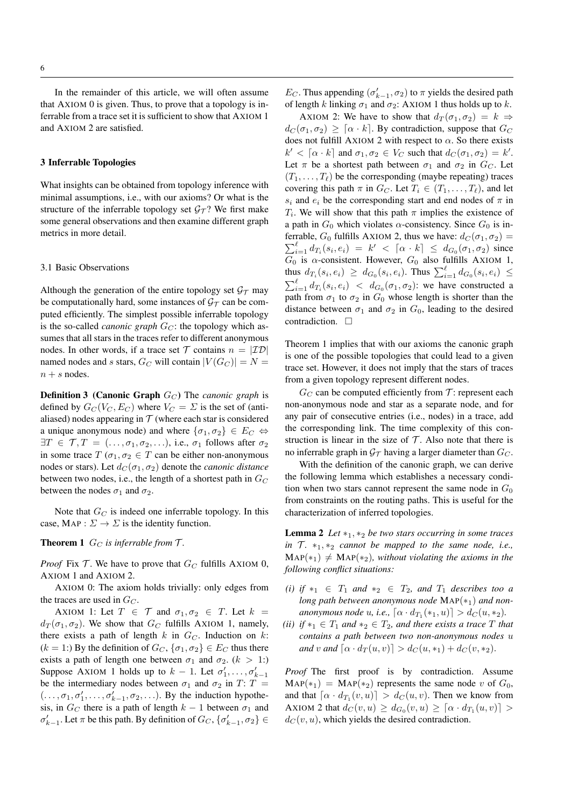In the remainder of this article, we will often assume that AXIOM 0 is given. Thus, to prove that a topology is inferrable from a trace set it is sufficient to show that AXIOM 1 and AXIOM 2 are satisfied.

## 3 Inferrable Topologies

What insights can be obtained from topology inference with minimal assumptions, i.e., with our axioms? Or what is the structure of the inferrable topology set  $\mathcal{G}_T$ ? We first make some general observations and then examine different graph metrics in more detail.

#### 3.1 Basic Observations

Although the generation of the entire topology set  $\mathcal{G}_{\mathcal{T}}$  may be computationally hard, some instances of  $\mathcal{G}_{\mathcal{T}}$  can be computed efficiently. The simplest possible inferrable topology is the so-called *canonic graph*  $G_C$ : the topology which assumes that all stars in the traces refer to different anonymous nodes. In other words, if a trace set  $T$  contains  $n = | \mathcal{ID} |$ named nodes and s stars,  $G_C$  will contain  $|V(G_C)| = N =$  $n + s$  nodes.

**Definition 3 (Canonic Graph**  $G_C$ ) The *canonic graph* is defined by  $G_C(V_C, E_C)$  where  $V_C = \Sigma$  is the set of (antialiased) nodes appearing in  $T$  (where each star is considered a unique anonymous node) and where  $\{\sigma_1, \sigma_2\} \in E_C \Leftrightarrow$  $\exists T \in \mathcal{T}, T = (\ldots, \sigma_1, \sigma_2, \ldots),$  i.e.,  $\sigma_1$  follows after  $\sigma_2$ in some trace  $T(\sigma_1, \sigma_2 \in T$  can be either non-anonymous nodes or stars). Let  $d_C(\sigma_1, \sigma_2)$  denote the *canonic distance* between two nodes, i.e., the length of a shortest path in  $G_C$ between the nodes  $\sigma_1$  and  $\sigma_2$ .

Note that  $G_C$  is indeed one inferrable topology. In this case, MAP :  $\Sigma \to \Sigma$  is the identity function.

## **Theorem 1**  $G_C$  *is inferrable from*  $\mathcal{T}$ *.*

*Proof* Fix  $T$ . We have to prove that  $G_C$  fulfills AXIOM 0, AXIOM 1 and AXIOM 2.

AXIOM 0: The axiom holds trivially: only edges from the traces are used in  $G_C$ .

AXIOM 1: Let  $T \in \mathcal{T}$  and  $\sigma_1, \sigma_2 \in T$ . Let  $k =$  $d_T(\sigma_1, \sigma_2)$ . We show that  $G_C$  fulfills AXIOM 1, namely, there exists a path of length  $k$  in  $G_C$ . Induction on  $k$ :  $(k = 1)$  By the definition of  $G_C$ ,  $\{\sigma_1, \sigma_2\} \in E_C$  thus there exists a path of length one between  $\sigma_1$  and  $\sigma_2$ . ( $k > 1$ :) Suppose AXIOM 1 holds up to  $k-1$ . Let  $\sigma'_1, \ldots, \sigma'_{k-1}$ be the intermediary nodes between  $\sigma_1$  and  $\sigma_2$  in T: T =  $(\ldots, \sigma_1, \sigma'_1, \ldots, \sigma'_{k-1}, \sigma_2, \ldots)$ . By the induction hypothesis, in  $G_C$  there is a path of length  $k - 1$  between  $\sigma_1$  and  $\sigma'_{k-1}$ . Let  $\pi$  be this path. By definition of  $G_C$ ,  $\{\sigma'_{k-1}, \sigma_2\} \in$ 

E<sub>C</sub>. Thus appending  $(\sigma'_{k-1}, \sigma_2)$  to  $\pi$  yields the desired path of length k linking  $\sigma_1$  and  $\sigma_2$ : AXIOM 1 thus holds up to k.

AXIOM 2: We have to show that  $d_T(\sigma_1, \sigma_2) = k \Rightarrow$  $d_C(\sigma_1, \sigma_2) \geq [\alpha \cdot k]$ . By contradiction, suppose that  $G_C$ does not fulfill AXIOM 2 with respect to  $\alpha$ . So there exists  $k' < \lceil \alpha \cdot k \rceil$  and  $\sigma_1, \sigma_2 \in V_C$  such that  $d_C(\sigma_1, \sigma_2) = k'.$ Let  $\pi$  be a shortest path between  $\sigma_1$  and  $\sigma_2$  in  $G_C$ . Let  $(T_1, \ldots, T_\ell)$  be the corresponding (maybe repeating) traces covering this path  $\pi$  in  $G_C$ . Let  $T_i \in (T_1, \ldots, T_\ell)$ , and let  $s_i$  and  $e_i$  be the corresponding start and end nodes of  $\pi$  in  $T_i$ . We will show that this path  $\pi$  implies the existence of a path in  $G_0$  which violates  $\alpha$ -consistency. Since  $G_0$  is in- $\sum_{i=1}^{\ell} d_{T_i}(s_i, e_i) = k' < [\alpha \cdot k] \leq d_{G_0}(\sigma_1, \sigma_2)$  since ferrable,  $G_0$  fulfills AXIOM 2, thus we have:  $d_C(\sigma_1, \sigma_2)$  =  $G_0$  is  $\alpha$ -consistent. However,  $G_0$  also fulfills AXIOM 1, thus  $d_{T_i}(s_i, e_i) \geq d_{G_0}(s_i, e_i)$ . Thus  $\sum_{i=1}^{\ell} d_{G_0}(s_i, e_i) \leq$  $\sum_{i=1}^{\ell} d_{T_i}(s_i, e_i) < d_{G_0}(\sigma_1, \sigma_2)$ : we have constructed a path from  $\sigma_1$  to  $\sigma_2$  in  $G_0$  whose length is shorter than the distance between  $\sigma_1$  and  $\sigma_2$  in  $G_0$ , leading to the desired contradiction.  $\square$ 

Theorem 1 implies that with our axioms the canonic graph is one of the possible topologies that could lead to a given trace set. However, it does not imply that the stars of traces from a given topology represent different nodes.

 $G_C$  can be computed efficiently from  $\mathcal T$ : represent each non-anonymous node and star as a separate node, and for any pair of consecutive entries (i.e., nodes) in a trace, add the corresponding link. The time complexity of this construction is linear in the size of  $T$ . Also note that there is no inferrable graph in  $\mathcal{G}_{\mathcal{T}}$  having a larger diameter than  $G_C$ .

With the definition of the canonic graph, we can derive the following lemma which establishes a necessary condition when two stars cannot represent the same node in  $G_0$ from constraints on the routing paths. This is useful for the characterization of inferred topologies.

Lemma 2 *Let* ∗1, ∗<sup>2</sup> *be two stars occurring in some traces in*  $T_1$ ,  $*_1$ ,  $*_2$  *cannot be mapped to the same node, i.e.,*  $MAP(*_1) \neq MAP(*_2)$ *, without violating the axioms in the following conflict situations:*

- *(i) if*  $*_1 \in T_1$  *and*  $*_2 \in T_2$ *, and*  $T_1$  *describes too a long path between anonymous node* MAP(∗1) *and nonanonymous node u, i.e.,*  $\lceil \alpha \cdot d_{T_1}(*_1, u) \rceil > d_C(u, *_2)$ .
- *(ii) if*  $*_1 \in T_1$  *and*  $*_2 \in T_2$ *, and there exists a trace* T *that contains a path between two non-anonymous nodes* u *and* v *and*  $[\alpha \cdot d_T(u, v)] > d_C(u, *_1) + d_C(v, *_2)$ .

*Proof* The first proof is by contradiction. Assume  $MAP(*_1) = MAP(*_2)$  represents the same node v of  $G_0$ , and that  $\lceil \alpha \cdot d_{T_1}(v, u) \rceil > d_C(u, v)$ . Then we know from AXIOM 2 that  $d_C(v, u) \geq d_{G_0}(v, u) \geq \lceil \alpha \cdot d_{T_1}(u, v) \rceil >$  $d_C(v, u)$ , which yields the desired contradiction.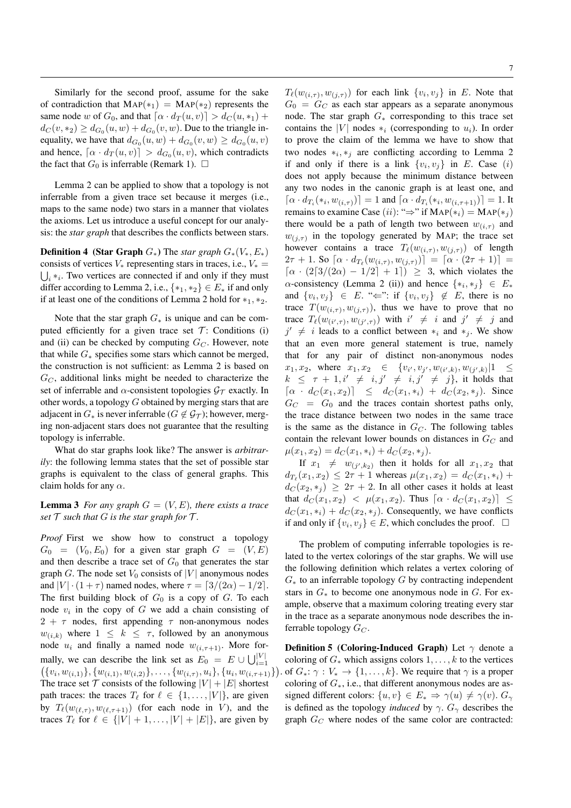Similarly for the second proof, assume for the sake of contradiction that  $\text{MAP}(*_1) = \text{MAP}(*_2)$  represents the same node w of  $G_0$ , and that  $\lceil \alpha \cdot d_T(u, v) \rceil > d_C(u, *_1) +$  $d_C(v, *_2) \ge d_{G_0}(u, w) + d_{G_0}(v, w)$ . Due to the triangle inequality, we have that  $d_{G_0}(u, w) + d_{G_0}(v, w) \ge d_{G_0}(u, v)$ and hence,  $\lceil \alpha \cdot d_T(u, v) \rceil > d_{G_0}(u, v)$ , which contradicts the fact that  $G_0$  is inferrable (Remark 1).  $\Box$ 

Lemma 2 can be applied to show that a topology is not inferrable from a given trace set because it merges (i.e., maps to the same node) two stars in a manner that violates the axioms. Let us introduce a useful concept for our analysis: the *star graph* that describes the conflicts between stars.

**Definition 4** (Star Graph  $G_*$ ) The *star graph*  $G_*(V_*, E_*)$ consists of vertices  $V_*$  representing stars in traces, i.e.,  $V_* =$  $\bigcup_i *_{i}$ . Two vertices are connected if and only if they must differ according to Lemma 2, i.e.,  $\{*_1, *_2\} \in E_*$  if and only if at least one of the conditions of Lemma 2 hold for  $*_1$ ,  $*_2$ .

Note that the star graph  $G_*$  is unique and can be computed efficiently for a given trace set  $T$ : Conditions (i) and (ii) can be checked by computing  $G_C$ . However, note that while  $G_*$  specifies some stars which cannot be merged, the construction is not sufficient: as Lemma 2 is based on  $G_C$ , additional links might be needed to characterize the set of inferrable and  $\alpha$ -consistent topologies  $\mathcal{G}_{\tau}$  exactly. In other words, a topology G obtained by merging stars that are adjacent in  $G_*$  is never inferrable ( $G \notin \mathcal{G}_{\mathcal{T}}$ ); however, merging non-adjacent stars does not guarantee that the resulting topology is inferrable.

What do star graphs look like? The answer is *arbitrarily*: the following lemma states that the set of possible star graphs is equivalent to the class of general graphs. This claim holds for any  $\alpha$ .

**Lemma 3** For any graph  $G = (V, E)$ , there exists a trace *set*  $\mathcal T$  *such that*  $G$  *is the star graph for*  $\mathcal T$ *.* 

*Proof* First we show how to construct a topology  $G_0 = (V_0, E_0)$  for a given star graph  $G = (V, E)$ and then describe a trace set of  $G_0$  that generates the star graph G. The node set  $V_0$  consists of  $|V|$  anonymous nodes and  $|V| \cdot (1 + \tau)$  named nodes, where  $\tau = \frac{3}{2\alpha} - \frac{1}{2}$ . The first building block of  $G_0$  is a copy of  $G$ . To each node  $v_i$  in the copy of G we add a chain consisting of  $2 + \tau$  nodes, first appending  $\tau$  non-anonymous nodes  $w_{(i,k)}$  where  $1 \leq k \leq \tau$ , followed by an anonymous node  $u_i$  and finally a named node  $w_{(i, \tau+1)}$ . More formally, we can describe the link set as  $E_0 = E \cup \bigcup_{i=1}^{|V|}$  $\{ \{v_i, w_{(i,1)}\}, \{w_{(i,1)}, w_{(i,2)}\}, \ldots, \{w_{(i,\tau)}, u_i\}, \{u_i, w_{(i,\tau+1)}\}$ The trace set  $T$  consists of the following  $|V| + |E|$  shortest path traces: the traces  $T_\ell$  for  $\ell \in \{1, \ldots, |V| \}$ , are given by  $T_{\ell}(w_{(\ell,\tau)}, w_{(\ell,\tau+1)})$  (for each node in V), and the traces  $T_\ell$  for  $\ell \in \{|V| + 1, \ldots, |V| + |E|\}$ , are given by

 $T_{\ell}(w_{(i,\tau)}, w_{(j,\tau)})$  for each link  $\{v_i, v_j\}$  in E. Note that  $G_0 = G_C$  as each star appears as a separate anonymous node. The star graph  $G_*$  corresponding to this trace set contains the |V| nodes  $*_i$  (corresponding to  $u_i$ ). In order to prove the claim of the lemma we have to show that two nodes  $*_i, *_j$  are conflicting according to Lemma 2 if and only if there is a link  $\{v_i, v_j\}$  in E. Case (i) does not apply because the minimum distance between any two nodes in the canonic graph is at least one, and  $[\alpha \cdot d_{T_i}(*_i, w_{(i,\tau)})] = 1$  and  $[\alpha \cdot d_{T_i}(*_i, w_{(i,\tau+1)})] = 1$ . It remains to examine Case (ii): " $\Rightarrow$ " if MAP(\*<sub>i</sub>) = MAP(\*<sub>j</sub>) there would be a path of length two between  $w_{(i,\tau)}$  and  $w_{(j,\tau)}$  in the topology generated by MAP; the trace set however contains a trace  $T_\ell(w_{(i,\tau)}, w_{(j,\tau)})$  of length 2 $\tau$  + 1. So  $\lceil \alpha \cdot d_{T_{\ell}}(w_{(i,\tau)}, w_{(j,\tau)}) \rceil = \lceil \alpha \cdot (2\tau + 1) \rceil =$  $\lceil \alpha \cdot (2 \lceil 3/(2\alpha) - 1/2 \rceil + 1 \rceil) \geq 3$ , which violates the  $\alpha$ -consistency (Lemma 2 (ii)) and hence  $\{*_i, *_j\} \in E_*$ and  $\{v_i, v_j\} \in E$ . " $\Leftarrow$ ": if  $\{v_i, v_j\} \notin E$ , there is no trace  $T(w_{(i,\tau)}, w_{(j,\tau)})$ , thus we have to prove that no trace  $T_{\ell}(w_{(i',\tau)}, w_{(j',\tau)})$  with  $i' \neq i$  and  $j' \neq j$  and  $j' \neq i$  leads to a conflict between  $*_i$  and  $*_j$ . We show that an even more general statement is true, namely that for any pair of distinct non-anonymous nodes  $x_1, x_2, \text{ where } x_1, x_2 \in \{v_{i'}, v_{j'}, w_{(i',k)}, w_{(j',k)} | 1 \leq$  $k \leq \tau + 1, i' \neq i, j' \neq i, j' \neq j$ , it holds that  $\begin{array}{rcl} \lceil \alpha \, \cdot \, d_C(x_1,x_2) \rceil & \leq & d_C(x_1,*_i) + d_C(x_2,*_j) \end{array}$  Since  $G_C = G_0$  and the traces contain shortest paths only, the trace distance between two nodes in the same trace is the same as the distance in  $G_C$ . The following tables contain the relevant lower bounds on distances in  $G_C$  and  $\mu(x_1, x_2) = d_C(x_1, *_i) + d_C(x_2, *_i).$ 

If  $x_1 \neq w_{(j',k_2)}$  then it holds for all  $x_1, x_2$  that  $d_{T_{\ell}}(x_1, x_2) \leq 2\tau + 1$  whereas  $\mu(x_1, x_2) = d_C(x_1, *_{i}) +$  $d_C(x_2, *_j) \geq 2\tau + 2$ . In all other cases it holds at least that  $d_C(x_1, x_2) < \mu(x_1, x_2)$ . Thus  $[\alpha \cdot d_C(x_1, x_2)] \leq$  $d_C(x_1, *_i) + d_C(x_2, *_i)$ . Consequently, we have conflicts if and only if  $\{v_i, v_j\} \in E$ , which concludes the proof.  $\Box$ 

The problem of computing inferrable topologies is related to the vertex colorings of the star graphs. We will use the following definition which relates a vertex coloring of  $G_*$  to an inferrable topology G by contracting independent stars in  $G_*$  to become one anonymous node in  $G$ . For example, observe that a maximum coloring treating every star in the trace as a separate anonymous node describes the inferrable topology  $G_C$ .

. of  $G_*: \gamma : V_* \to \{1, \ldots, k\}$ . We require that  $\gamma$  is a proper **Definition 5 (Coloring-Induced Graph)** Let  $\gamma$  denote a coloring of  $G_*$  which assigns colors  $1, \ldots, k$  to the vertices coloring of  $G_*$ , i.e., that different anonymous nodes are assigned different colors:  $\{u, v\} \in E_* \Rightarrow \gamma(u) \neq \gamma(v)$ .  $G_\gamma$ is defined as the topology *induced* by  $\gamma$ .  $G_{\gamma}$  describes the graph  $G_C$  where nodes of the same color are contracted:

 $\mathcal{E}$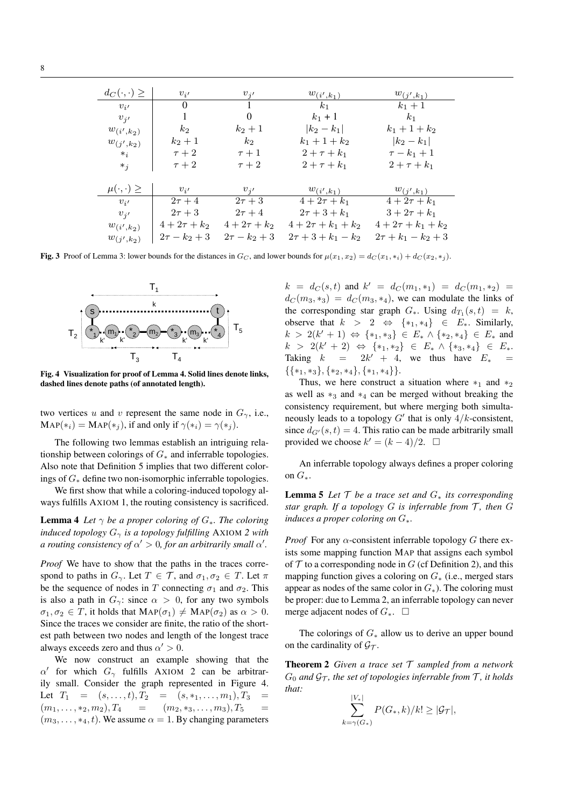| $d_C(\cdot,\cdot) \geq$ | $v_{i'}$          | $v_{i'}$          | $w_{(i',k_1)}$          | $w_{(j',k_1)}$          |
|-------------------------|-------------------|-------------------|-------------------------|-------------------------|
| $v_{i'}$                | $\Omega$          |                   | $k_1$                   | $k_1 + 1$               |
| $v_{i'}$                | 1                 | $\theta$          | $k_1 + 1$               | $k_1$                   |
| $w_{(i',k_2)}$          | $k_2$             | $k_2+1$           | $ k_2 - k_1 $           | $k_1 + 1 + k_2$         |
| $w_{(j',k_2)}$          | $k_2+1$           | $k_2$             | $k_1 + 1 + k_2$         | $ k_2 - k_1 $           |
| $*_i$                   | $\tau+2$          | $\tau+1$          | $2 + \tau + k_1$        | $\tau-k_1+1$            |
| $*_j$                   | $\tau+2$          | $\tau+2$          | $2 + \tau + k_1$        | $2 + \tau + k_1$        |
|                         |                   |                   |                         |                         |
| $\mu(\cdot,\cdot) \geq$ | $v_{i'}$          | $v_{i'}$          | $w_{(i',k_1)}$          | $w_{(j',k_1)}$          |
| $v_{i'}$                | $2\tau+4$         | $2\tau+3$         | $4 + 2\tau + k_1$       | $4 + 2\tau + k_1$       |
| $v_{i'}$                | $2\tau+3$         | $2\tau+4$         | $2\tau + 3 + k_1$       | $3 + 2\tau + k_1$       |
| $w_{(i',k_2)}$          | $4 + 2\tau + k_2$ | $4 + 2\tau + k_2$ | $4+2\tau+k_1+k_2$       | $4+2\tau+k_1+k_2$       |
| $w_{(j',k_2)}$          | $2\tau - k_2 + 3$ | $2\tau - k_2 + 3$ | $2\tau + 3 + k_1 - k_2$ | $2\tau + k_1 - k_2 + 3$ |

Fig. 3 Proof of Lemma 3: lower bounds for the distances in  $G_C$ , and lower bounds for  $\mu(x_1, x_2) = d_C(x_1, *_i) + d_C(x_2, *_j)$ .



Fig. 4 Visualization for proof of Lemma 4. Solid lines denote links, dashed lines denote paths (of annotated length).

two vertices u and v represent the same node in  $G_{\gamma}$ , i.e.,  $\text{MAP}(*_i) = \text{MAP}(*_i)$ , if and only if  $\gamma(*_i) = \gamma(*_i)$ .

The following two lemmas establish an intriguing relationship between colorings of  $G_*$  and inferrable topologies. Also note that Definition 5 implies that two different colorings of  $G_*$  define two non-isomorphic inferrable topologies.

We first show that while a coloring-induced topology always fulfills AXIOM 1, the routing consistency is sacrificed.

**Lemma 4** *Let*  $\gamma$  *be a proper coloring of*  $G_*$ *. The coloring induced topology*  $G_{\gamma}$  *is a topology fulfilling* AXIOM 2 with *a routing consistency of*  $\alpha' > 0$ , for an arbitrarily small  $\alpha'$ .

*Proof* We have to show that the paths in the traces correspond to paths in  $G_{\gamma}$ . Let  $T \in \mathcal{T}$ , and  $\sigma_1, \sigma_2 \in T$ . Let  $\pi$ be the sequence of nodes in T connecting  $\sigma_1$  and  $\sigma_2$ . This is also a path in  $G_\gamma$ : since  $\alpha > 0$ , for any two symbols  $\sigma_1, \sigma_2 \in T$ , it holds that  $\text{MAP}(\sigma_1) \neq \text{MAP}(\sigma_2)$  as  $\alpha > 0$ . Since the traces we consider are finite, the ratio of the shortest path between two nodes and length of the longest trace always exceeds zero and thus  $\alpha' > 0$ .

We now construct an example showing that the  $\alpha'$  for which  $G_{\gamma}$  fulfills AXIOM 2 can be arbitrarily small. Consider the graph represented in Figure 4. Let  $T_1 = (s, \ldots, t), T_2 = (s, *_1, \ldots, m_1), T_3$  $(m_1, \ldots, *_{2}, m_2), T_4 = (m_2, *_{3}, \ldots, m_{3}), T_5$  $(m_3, \ldots, *_4, t)$ . We assume  $\alpha = 1$ . By changing parameters

 $k = d_C(s,t)$  and  $k' = d_C(m_1, *_1) = d_C(m_1, *_2) =$  $d_C (m_3, *_3) = d_C (m_3, *_4)$ , we can modulate the links of the corresponding star graph  $G_*$ . Using  $d_{T_1}(s,t) = k$ , observe that  $k > 2 \Leftrightarrow {\ast_1, *_4} \in E_*$ . Similarly,  $k > 2(k' + 1) \Leftrightarrow \{*_1, *_3\} \in E_* \wedge \{*_2, *_4\} \in E_*$  and  $k > 2(k' + 2) \Leftrightarrow {\ast_1, *_2} \in E_* \wedge {\ast_3, *_4} \in E_*$ Taking  $k = 2k' + 4$ , we thus have  $E_* =$  $\{\{*_1,*_3\}, \{*_2,*_4\}, \{*_1,*_4\}\}.$ 

Thus, we here construct a situation where  $*_1$  and  $*_2$ as well as  $*_3$  and  $*_4$  can be merged without breaking the consistency requirement, but where merging both simultaneously leads to a topology  $G'$  that is only  $4/k$ -consistent, since  $d_{G'}(s, t) = 4$ . This ratio can be made arbitrarily small provided we choose  $k' = (k-4)/2$ .  $\Box$ 

An inferrable topology always defines a proper coloring on  $G_*$ .

**Lemma 5** *Let*  $\mathcal T$  *be a trace set and*  $G_*$  *its corresponding star graph. If a topology*  $G$  *is inferrable from*  $T$ *, then*  $G$ *induces a proper coloring on* G∗*.*

*Proof* For any  $\alpha$ -consistent inferrable topology G there exists some mapping function MAP that assigns each symbol of  $\mathcal T$  to a corresponding node in  $G$  (cf Definition 2), and this mapping function gives a coloring on  $G_*$  (i.e., merged stars appear as nodes of the same color in  $G_*$ ). The coloring must be proper: due to Lemma 2, an inferrable topology can never merge adjacent nodes of  $G_*$ . □

The colorings of  $G_*$  allow us to derive an upper bound on the cardinality of  $\mathcal{G}_{\mathcal{T}}$ .

Theorem 2 *Given a trace set* T *sampled from a network*  $G_0$  *and*  $\mathcal{G}_{\mathcal{T}}$ *, the set of topologies inferrable from*  $\mathcal{T}$ *, it holds that:*

$$
\sum_{k=\gamma(G_*)}^{|V_*|} P(G_*, k)/k! \geq |\mathcal{G}_{\mathcal{T}}|,
$$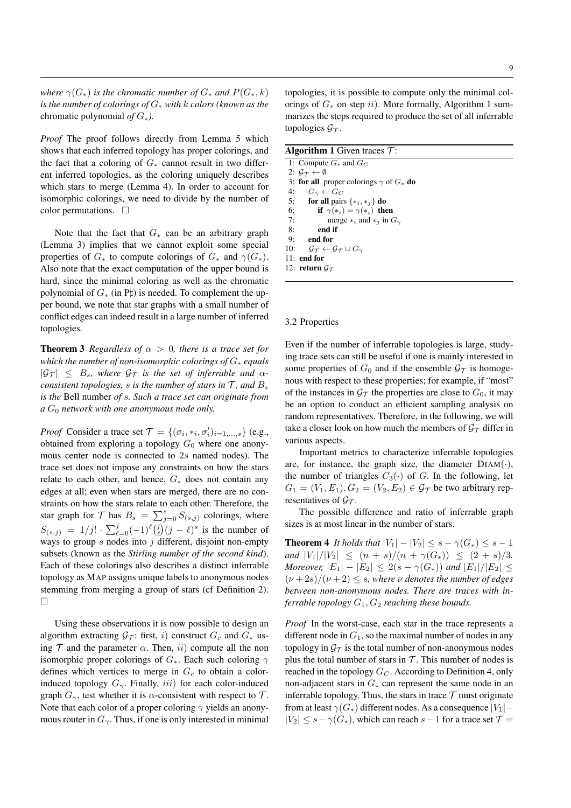*where*  $\gamma(G_*)$  *is the chromatic number of*  $G_*$  *and*  $P(G_*, k)$ *is the number of colorings of* G<sup>∗</sup> *with* k *colors (known as the* chromatic polynomial *of* G∗*).*

*Proof* The proof follows directly from Lemma 5 which shows that each inferred topology has proper colorings, and the fact that a coloring of  $G_*$  cannot result in two different inferred topologies, as the coloring uniquely describes which stars to merge (Lemma 4). In order to account for isomorphic colorings, we need to divide by the number of color permutations.  $\square$ 

Note that the fact that  $G_*$  can be an arbitrary graph (Lemma 3) implies that we cannot exploit some special properties of  $G_*$  to compute colorings of  $G_*$  and  $\gamma(G_*)$ . Also note that the exact computation of the upper bound is hard, since the minimal coloring as well as the chromatic polynomial of  $G_*$  (in P $\sharp$ ) is needed. To complement the upper bound, we note that star graphs with a small number of conflict edges can indeed result in a large number of inferred topologies.

**Theorem 3** *Regardless of*  $\alpha > 0$ *, there is a trace set for which the number of non-isomorphic colorings of* G<sup>∗</sup> *equals*  $|G_T| \leq B_s$ , where  $G_T$  is the set of inferrable and  $\alpha$ *consistent topologies, s is the number of stars in*  $\mathcal{T}$ *, and*  $B$ *, is the* Bell number *of* s*. Such a trace set can originate from*  $a G_0$  *network with one anonymous node only.* 

*Proof* Consider a trace set  $\mathcal{T} = \{(\sigma_i, *_i, \sigma'_i)_{i=1,\dots,s}\}$  (e.g., obtained from exploring a topology  $G_0$  where one anonymous center node is connected to 2s named nodes). The trace set does not impose any constraints on how the stars relate to each other, and hence,  $G_*$  does not contain any edges at all; even when stars are merged, there are no constraints on how the stars relate to each other. Therefore, the star graph for  $\mathcal T$  has  $B_s = \sum_{j=0}^s S_{(s,j)}$  colorings, where  $S_{(s,j)} = 1/j! \cdot \sum_{\ell=0}^{j} (-1)^{\ell} {\binom{j}{\ell}} (j - \ell)^s$  is the number of ways to group  $s$  nodes into  $j$  different, disjoint non-empty subsets (known as the *Stirling number of the second kind*). Each of these colorings also describes a distinct inferrable topology as MAP assigns unique labels to anonymous nodes stemming from merging a group of stars (cf Definition 2).  $\Box$ 

Using these observations it is now possible to design an algorithm extracting  $G_T$ : first, i) construct  $G_c$  and  $G_*$  using  $\mathcal T$  and the parameter  $\alpha$ . Then, ii) compute all the non isomorphic proper colorings of  $G_*$ . Each such coloring  $\gamma$ defines which vertices to merge in  $G_c$  to obtain a colorinduced topology  $G_{\gamma}$ . Finally, *iii*) for each color-induced graph  $G_{\gamma}$ , test whether it is  $\alpha$ -consistent with respect to  $\mathcal{T}$ . Note that each color of a proper coloring  $\gamma$  yields an anonymous router in  $G_{\gamma}$ . Thus, if one is only interested in minimal topologies, it is possible to compute only the minimal colorings of  $G_*$  on step ii). More formally, Algorithm 1 summarizes the steps required to produce the set of all inferrable topologies  $\mathcal{G}_{\mathcal{T}}$ .

| <b>Algorithm 1</b> Given traces $\tau$ :                                                |
|-----------------------------------------------------------------------------------------|
| 1: Compute $G_*$ and $G_C$                                                              |
| 2: $G_{\tau} \leftarrow \emptyset$                                                      |
| 3: for all proper colorings $\gamma$ of $G_*$ do                                        |
| 4:<br>$G_{\gamma} \leftarrow G_C$                                                       |
| 5:<br>for all pairs $\{*_i, *_i\}$ do                                                   |
| if $\gamma(*) = \gamma(*)$ then<br>6:                                                   |
| 7:<br>merge $*_i$ and $*_j$ in $G_\gamma$                                               |
| 8:<br>end if                                                                            |
| 9:<br>end for                                                                           |
| 10:<br>$\mathcal{G}_{\mathcal{T}} \leftarrow \mathcal{G}_{\mathcal{T}} \cup G_{\gamma}$ |
| $11:$ end for                                                                           |
| 12: return $\mathcal{G}_{\mathcal{T}}$                                                  |
|                                                                                         |

#### 3.2 Properties

Even if the number of inferrable topologies is large, studying trace sets can still be useful if one is mainly interested in some properties of  $G_0$  and if the ensemble  $\mathcal{G}_{\mathcal{T}}$  is homogenous with respect to these properties; for example, if "most" of the instances in  $\mathcal{G}_{\mathcal{T}}$  the properties are close to  $G_0$ , it may be an option to conduct an efficient sampling analysis on random representatives. Therefore, in the following, we will take a closer look on how much the members of  $\mathcal{G}_{\mathcal{T}}$  differ in various aspects.

Important metrics to characterize inferrable topologies are, for instance, the graph size, the diameter  $DIAM(\cdot)$ , the number of triangles  $C_3(\cdot)$  of G. In the following, let  $G_1 = (V_1, E_1), G_2 = (V_2, E_2) \in \mathcal{G}_{\mathcal{T}}$  be two arbitrary representatives of  $G_{\tau}$ .

The possible difference and ratio of inferrable graph sizes is at most linear in the number of stars.

**Theorem 4** *It holds that*  $|V_1| - |V_2| \leq s - \gamma(G_*) \leq s - 1$ *and*  $|V_1|/|V_2| \leq (n+s)/(n+\gamma(G_*)) \leq (2+s)/3$ . *Moreover,*  $|E_1| - |E_2| \leq 2(s - \gamma(G_*))$  *and*  $|E_1|/|E_2| \leq$  $(\nu+2s)/(\nu+2) \leq s$ , where  $\nu$  denotes the number of edges *between non-anonymous nodes. There are traces with inferrable topology*  $G_1$ ,  $G_2$  *reaching these bounds.* 

*Proof* In the worst-case, each star in the trace represents a different node in  $G_1$ , so the maximal number of nodes in any topology in  $\mathcal{G}_{\mathcal{T}}$  is the total number of non-anonymous nodes plus the total number of stars in  $\mathcal T$ . This number of nodes is reached in the topology  $G_C$ . According to Definition 4, only non-adjacent stars in  $G_*$  can represent the same node in an inferrable topology. Thus, the stars in trace  $T$  must originate from at least  $\gamma(G_*)$  different nodes. As a consequence  $|V_1|$  –  $|V_2| \leq s - \gamma(G_*)$ , which can reach  $s-1$  for a trace set  $\mathcal{T} =$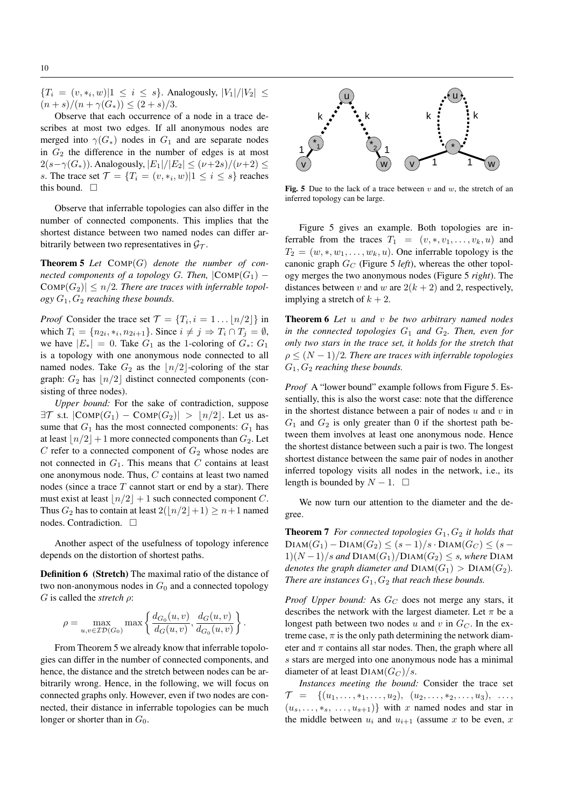${T_i = (v, *_i, w) | 1 \le i \le s}$ . Analogously,  $|V_1|/|V_2| \le$  $(n + s)/(n + \gamma(G_{*})) \leq (2 + s)/3.$ 

Observe that each occurrence of a node in a trace describes at most two edges. If all anonymous nodes are merged into  $\gamma(G_*)$  nodes in  $G_1$  and are separate nodes in  $G_2$  the difference in the number of edges is at most  $2(s-\gamma(G_*))$ . Analogously,  $|E_1|/|E_2| \leq (\nu+2s)/(\nu+2) \leq$ s. The trace set  $\mathcal{T} = \{T_i = (v, *_i, w) | 1 \le i \le s\}$  reaches this bound.  $\square$ 

Observe that inferrable topologies can also differ in the number of connected components. This implies that the shortest distance between two named nodes can differ arbitrarily between two representatives in  $\mathcal{G}_{\mathcal{T}}$ .

Theorem 5 *Let* COMP(G) *denote the number of connected components of a topology* G. Then,  $|COMP(G_1) \text{COMP}(G_2)| \leq n/2$ . There are traces with inferrable topol*ogy* G1, G<sup>2</sup> *reaching these bounds.*

*Proof* Consider the trace set  $\mathcal{T} = \{T_i, i = 1 \dots \lfloor n/2 \rfloor\}$  in which  $T_i = \{n_{2i}, *_{i}, n_{2i+1}\}\.$  Since  $i \neq j \Rightarrow T_i \cap T_j = \emptyset$ , we have  $|E_*| = 0$ . Take  $G_1$  as the 1-coloring of  $G_*$ :  $G_1$ is a topology with one anonymous node connected to all named nodes. Take  $G_2$  as the  $\lfloor n/2 \rfloor$ -coloring of the star graph:  $G_2$  has  $\lfloor n/2 \rfloor$  distinct connected components (consisting of three nodes).

*Upper bound:* For the sake of contradiction, suppose  $\exists \mathcal{T}$  s.t.  $|\text{COMP}(G_1) - \text{COMP}(G_2)| > |n/2|$ . Let us assume that  $G_1$  has the most connected components:  $G_1$  has at least  $\lfloor n/2 \rfloor + 1$  more connected components than  $G_2$ . Let  $C$  refer to a connected component of  $G_2$  whose nodes are not connected in  $G_1$ . This means that C contains at least one anonymous node. Thus, C contains at least two named nodes (since a trace  $T$  cannot start or end by a star). There must exist at least  $\lfloor n/2 \rfloor + 1$  such connected component C. Thus  $G_2$  has to contain at least  $2(|n/2|+1) \ge n+1$  named nodes. Contradiction.

Another aspect of the usefulness of topology inference depends on the distortion of shortest paths.

Definition 6 (Stretch) The maximal ratio of the distance of two non-anonymous nodes in  $G_0$  and a connected topology G is called the *stretch* ρ:

$$
\rho = \max_{u,v \in \mathcal{ID}(G_0)} \max \left\{ \frac{d_{G_0}(u,v)}{d_G(u,v)}, \frac{d_G(u,v)}{d_{G_0}(u,v)} \right\}.
$$

From Theorem 5 we already know that inferrable topologies can differ in the number of connected components, and hence, the distance and the stretch between nodes can be arbitrarily wrong. Hence, in the following, we will focus on connected graphs only. However, even if two nodes are connected, their distance in inferrable topologies can be much longer or shorter than in  $G_0$ .



Fig. 5 Due to the lack of a trace between  $v$  and  $w$ , the stretch of an inferred topology can be large.

Figure 5 gives an example. Both topologies are inferrable from the traces  $T_1 = (v, \ast, v_1, \dots, v_k, u)$  and  $T_2 = (w, \ast, w_1, \ldots, w_k, u)$ . One inferrable topology is the canonic graph  $G_C$  (Figure 5 *left*), whereas the other topology merges the two anonymous nodes (Figure 5 *right*). The distances between v and w are  $2(k + 2)$  and 2, respectively, implying a stretch of  $k + 2$ .

Theorem 6 *Let* u *and* v *be two arbitrary named nodes in the connected topologies*  $G_1$  *and*  $G_2$ *. Then, even for only two stars in the trace set, it holds for the stretch that*  $\rho \leq (N-1)/2$ *. There are traces with inferrable topologies* G1, G<sup>2</sup> *reaching these bounds.*

*Proof* A "lower bound" example follows from Figure 5. Essentially, this is also the worst case: note that the difference in the shortest distance between a pair of nodes  $u$  and  $v$  in  $G_1$  and  $G_2$  is only greater than 0 if the shortest path between them involves at least one anonymous node. Hence the shortest distance between such a pair is two. The longest shortest distance between the same pair of nodes in another inferred topology visits all nodes in the network, i.e., its length is bounded by  $N - 1$ .  $\Box$ 

We now turn our attention to the diameter and the degree.

**Theorem 7** For connected topologies  $G_1, G_2$  it holds that  $DIAM(G_1) - DIAM(G_2) \leq (s-1)/s \cdot DIAM(G_C) \leq (s-1)$  $1)(N-1)/s$  and  $DIAM(G_1)/DIAM(G_2) \leq s$ , where  $DIAM$ *denotes the graph diameter and*  $DIAM(G_1) > DIAM(G_2)$ . *There are instances*  $G_1, G_2$  *that reach these bounds.* 

*Proof Upper bound:* As  $G_C$  does not merge any stars, it describes the network with the largest diameter. Let  $\pi$  be a longest path between two nodes u and v in  $G_C$ . In the extreme case,  $\pi$  is the only path determining the network diameter and  $\pi$  contains all star nodes. Then, the graph where all s stars are merged into one anonymous node has a minimal diameter of at least  $DIAM(G_C)/s$ .

*Instances meeting the bound:* Consider the trace set  $\mathcal{T} = \{(u_1, \ldots, *_1, \ldots, u_2), (u_2, \ldots, *_2, \ldots, u_3), \ldots,$  $(u_s, \ldots, *_{s}, \ldots, u_{s+1})$  with x named nodes and star in the middle between  $u_i$  and  $u_{i+1}$  (assume x to be even, x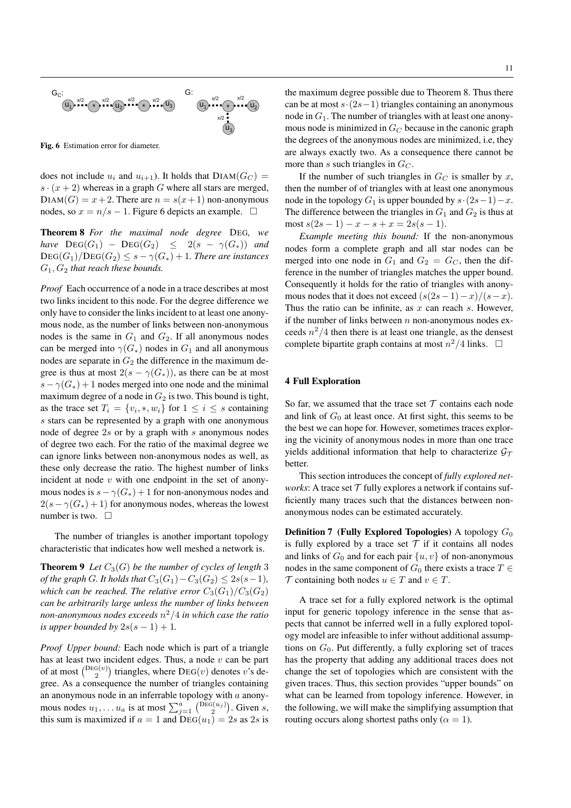

Fig. 6 Estimation error for diameter.

does not include  $u_i$  and  $u_{i+1}$ ). It holds that  $DIAM(G_C)$  =  $s \cdot (x + 2)$  whereas in a graph G where all stars are merged,  $DIAM(G) = x + 2$ . There are  $n = s(x + 1)$  non-anonymous nodes, so  $x = n/s - 1$ . Figure 6 depicts an example.  $□$ 

Theorem 8 *For the maximal node degree* DEG*, we have*  $\text{DEG}(G_1)$  –  $\text{DEG}(G_2) \leq 2(s - \gamma(G_*))$  *and*  $\text{DEG}(G_1)/\text{DEG}(G_2) \leq s - \gamma(G_*) + 1$ . There are instances G1, G<sup>2</sup> *that reach these bounds.*

*Proof* Each occurrence of a node in a trace describes at most two links incident to this node. For the degree difference we only have to consider the links incident to at least one anonymous node, as the number of links between non-anonymous nodes is the same in  $G_1$  and  $G_2$ . If all anonymous nodes can be merged into  $\gamma(G_*)$  nodes in  $G_1$  and all anonymous nodes are separate in  $G_2$  the difference in the maximum degree is thus at most  $2(s - \gamma(G_*))$ , as there can be at most  $s - \gamma(G_*) + 1$  nodes merged into one node and the minimal maximum degree of a node in  $G_2$  is two. This bound is tight, as the trace set  $T_i = \{v_i, \ast, w_i\}$  for  $1 \leq i \leq s$  containing s stars can be represented by a graph with one anonymous node of degree 2s or by a graph with s anonymous nodes of degree two each. For the ratio of the maximal degree we can ignore links between non-anonymous nodes as well, as these only decrease the ratio. The highest number of links incident at node  $v$  with one endpoint in the set of anonymous nodes is  $s - \gamma(G_*) + 1$  for non-anonymous nodes and  $2(s - \gamma(G_*) + 1)$  for anonymous nodes, whereas the lowest number is two.  $\square$ 

The number of triangles is another important topology characteristic that indicates how well meshed a network is.

**Theorem 9** *Let*  $C_3(G)$  *be the number of cycles of length* 3 *of the graph G. It holds that*  $C_3(G_1) - C_3(G_2) \leq 2s(s-1)$ *, which can be reached. The relative error*  $C_3(G_1)/C_3(G_2)$ *can be arbitrarily large unless the number of links between non-anonymous nodes exceeds* n <sup>2</sup>/4 *in which case the ratio is upper bounded by*  $2s(s - 1) + 1$ .

*Proof Upper bound:* Each node which is part of a triangle has at least two incident edges. Thus, a node  $v$  can be part of at most  $\binom{\text{DeG}(v)}{2}$  triangles, where  $\text{DEG}(v)$  denotes v's degree. As a consequence the number of triangles containing an anonymous node in an inferrable topology with  $a$  anonymous nodes  $u_1, \ldots u_a$  is at most  $\sum_{j=1}^a \binom{\text{Dec}(u_j)}{2}$ . Given s, this sum is maximized if  $a = 1$  and  $\overline{DEG(u_1)} = 2s$  as 2s is

the maximum degree possible due to Theorem 8. Thus there can be at most  $s·(2s-1)$  triangles containing an anonymous node in  $G_1$ . The number of triangles with at least one anonymous node is minimized in  $G_C$  because in the canonic graph the degrees of the anonymous nodes are minimized, i.e, they are always exactly two. As a consequence there cannot be more than s such triangles in  $G_C$ .

If the number of such triangles in  $G_C$  is smaller by x, then the number of of triangles with at least one anonymous node in the topology  $G_1$  is upper bounded by  $s \cdot (2s-1)-x$ . The difference between the triangles in  $G_1$  and  $G_2$  is thus at most  $s(2s - 1) - x - s + x = 2s(s - 1)$ .

*Example meeting this bound:* If the non-anonymous nodes form a complete graph and all star nodes can be merged into one node in  $G_1$  and  $G_2 = G_C$ , then the difference in the number of triangles matches the upper bound. Consequently it holds for the ratio of triangles with anonymous nodes that it does not exceed  $(s(2s-1)-x)/(s-x)$ . Thus the ratio can be infinite, as  $x$  can reach  $s$ . However, if the number of links between  $n$  non-anonymous nodes exceeds  $n^2/4$  then there is at least one triangle, as the densest complete bipartite graph contains at most  $n^2/4$  links.  $\Box$ 

### 4 Full Exploration

So far, we assumed that the trace set  $T$  contains each node and link of  $G_0$  at least once. At first sight, this seems to be the best we can hope for. However, sometimes traces exploring the vicinity of anonymous nodes in more than one trace yields additional information that help to characterize  $\mathcal{G}_{\tau}$ better.

This section introduces the concept of *fully explored networks*: A trace set  $T$  fully explores a network if contains sufficiently many traces such that the distances between nonanonymous nodes can be estimated accurately.

**Definition 7 (Fully Explored Topologies)** A topology  $G_0$ is fully explored by a trace set  $T$  if it contains all nodes and links of  $G_0$  and for each pair  $\{u, v\}$  of non-anonymous nodes in the same component of  $G_0$  there exists a trace  $T \in$ T containing both nodes  $u \in T$  and  $v \in T$ .

A trace set for a fully explored network is the optimal input for generic topology inference in the sense that aspects that cannot be inferred well in a fully explored topology model are infeasible to infer without additional assumptions on  $G_0$ . Put differently, a fully exploring set of traces has the property that adding any additional traces does not change the set of topologies which are consistent with the given traces. Thus, this section provides "upper bounds" on what can be learned from topology inference. However, in the following, we will make the simplifying assumption that routing occurs along shortest paths only ( $\alpha = 1$ ).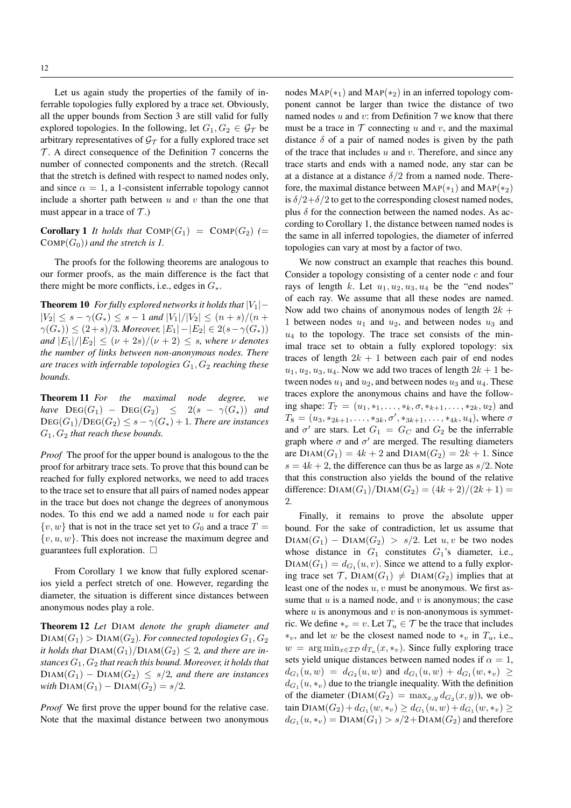Let us again study the properties of the family of inferrable topologies fully explored by a trace set. Obviously, all the upper bounds from Section 3 are still valid for fully explored topologies. In the following, let  $G_1, G_2 \in \mathcal{G}_{\mathcal{T}}$  be arbitrary representatives of  $\mathcal{G}_{\mathcal{T}}$  for a fully explored trace set  $T$ . A direct consequence of the Definition 7 concerns the number of connected components and the stretch. (Recall that the stretch is defined with respect to named nodes only, and since  $\alpha = 1$ , a 1-consistent inferrable topology cannot include a shorter path between  $u$  and  $v$  than the one that must appear in a trace of  $\mathcal{T}$ .)

**Corollary 1** *It holds that*  $\text{COMP}(G_1) = \text{COMP}(G_2)$  (=  $COMP(G_0)$ *) and the stretch is 1.* 

The proofs for the following theorems are analogous to our former proofs, as the main difference is the fact that there might be more conflicts, i.e., edges in  $G_*$ .

**Theorem 10** *For fully explored networks it holds that*  $|V_1|$  –  $|V_2| \leq s - \gamma(G_*) \leq s - 1$  and  $|V_1|/|V_2| \leq (n + s)/(n + s)$  $γ(G<sub>*</sub>)) ≤ (2+s)/3$ *. Moreover*,  $|E_1| - |E_2| ∈ 2(s - γ(G<sub>*</sub>)))$ *and*  $|E_1|/|E_2| \leq (\nu + 2s)/(\nu + 2) \leq s$ *, where*  $\nu$  *denotes the number of links between non-anonymous nodes. There are traces with inferrable topologies*  $G_1, G_2$  *reaching these bounds.*

Theorem 11 *For the maximal node degree, we have*  $\text{DEG}(G_1)$  –  $\text{DEG}(G_2) \leq 2(s - \gamma(G_*))$  *and*  $\text{DEG}(G_1)/\text{DEG}(G_2) \leq s - \gamma(G_*) + 1$ . There are instances  $G_1, G_2$  *that reach these bounds.* 

*Proof* The proof for the upper bound is analogous to the the proof for arbitrary trace sets. To prove that this bound can be reached for fully explored networks, we need to add traces to the trace set to ensure that all pairs of named nodes appear in the trace but does not change the degrees of anonymous nodes. To this end we add a named node  $u$  for each pair  $\{v, w\}$  that is not in the trace set yet to  $G_0$  and a trace  $T =$  $\{v, u, w\}$ . This does not increase the maximum degree and guarantees full exploration.  $\Box$ 

From Corollary 1 we know that fully explored scenarios yield a perfect stretch of one. However, regarding the diameter, the situation is different since distances between anonymous nodes play a role.

Theorem 12 *Let* DIAM *denote the graph diameter and*  $DIAM(G_1) > DIAM(G_2)$ *. For connected topologies*  $G_1, G_2$ *it holds that*  $DIAM(G_1)/DIAM(G_2) \leq 2$ , and there are in*stances* G1, G<sup>2</sup> *that reach this bound. Moreover, it holds that*  $DIAM(G_1) - DIAM(G_2) \leq s/2$ , and there are instances *with*  $DIAM(G_1) - DIAM(G_2) = s/2$ .

*Proof* We first prove the upper bound for the relative case. Note that the maximal distance between two anonymous

nodes  $MAP(*_1)$  and  $MAP(*_2)$  in an inferred topology component cannot be larger than twice the distance of two named nodes  $u$  and  $v$ : from Definition 7 we know that there must be a trace in  $T$  connecting u and v, and the maximal distance  $\delta$  of a pair of named nodes is given by the path of the trace that includes  $u$  and  $v$ . Therefore, and since any trace starts and ends with a named node, any star can be at a distance at a distance  $\delta/2$  from a named node. Therefore, the maximal distance between  $\text{MAP}(*_1)$  and  $\text{MAP}(*_2)$ is  $\delta/2+\delta/2$  to get to the corresponding closest named nodes, plus  $\delta$  for the connection between the named nodes. As according to Corollary 1, the distance between named nodes is the same in all inferred topologies, the diameter of inferred topologies can vary at most by a factor of two.

We now construct an example that reaches this bound. Consider a topology consisting of a center node  $c$  and four rays of length k. Let  $u_1, u_2, u_3, u_4$  be the "end nodes" of each ray. We assume that all these nodes are named. Now add two chains of anonymous nodes of length  $2k +$ 1 between nodes  $u_1$  and  $u_2$ , and between nodes  $u_3$  and  $u_4$  to the topology. The trace set consists of the minimal trace set to obtain a fully explored topology: six traces of length  $2k + 1$  between each pair of end nodes  $u_1, u_2, u_3, u_4$ . Now we add two traces of length  $2k + 1$  between nodes  $u_1$  and  $u_2$ , and between nodes  $u_3$  and  $u_4$ . These traces explore the anonymous chains and have the following shape:  $T_7 = (u_1, *_1, \ldots, *_{k}, \sigma, *_{k+1}, \ldots, *_{2k}, u_2)$  and  $T_8 = (u_3, *_{2k+1}, \ldots, *_{3k}, \sigma', *_{3k+1}, \ldots, *_{4k}, u_4)$ , where  $\sigma$ and  $\sigma'$  are stars. Let  $G_1 = G_C$  and  $G_2$  be the inferrable graph where  $\sigma$  and  $\sigma'$  are merged. The resulting diameters are  $DIAM(G_1) = 4k + 2$  and  $DIAM(G_2) = 2k + 1$ . Since  $s = 4k + 2$ , the difference can thus be as large as  $s/2$ . Note that this construction also yields the bound of the relative difference:  $DIAM(G_1)/DIAM(G_2) = (4k+2)/(2k+1) =$ 2.

Finally, it remains to prove the absolute upper bound. For the sake of contradiction, let us assume that  $DIAM(G_1) - DIAM(G_2) > s/2$ . Let  $u, v$  be two nodes whose distance in  $G_1$  constitutes  $G_1$ 's diameter, i.e.,  $DIAM(G_1) = d_{G_1}(u, v)$ . Since we attend to a fully exploring trace set  $\mathcal{T}$ ,  $DIAM(G_1) \neq DIAM(G_2)$  implies that at least one of the nodes  $u, v$  must be anonymous. We first assume that  $u$  is a named node, and  $v$  is anonymous; the case where  $u$  is anonymous and  $v$  is non-anonymous is symmetric. We define  $*_v = v$ . Let  $T_u \in \mathcal{T}$  be the trace that includes ∗<sub>v</sub>, and let w be the closest named node to ∗<sub>v</sub> in  $T_u$ , i.e.,  $w = \arg \min_{x \in \mathcal{ID}} d_{T_u}(x, *_{v}).$  Since fully exploring trace sets yield unique distances between named nodes if  $\alpha = 1$ ,  $d_{G_1}(u, w) = d_{G_2}(u, w)$  and  $d_{G_1}(u, w) + d_{G_1}(w, *_{v}) \ge$  $d_{G_1}(u, *_v)$  due to the triangle inequality. With the definition of the diameter ( $DIAM(G_2) = \max_{x,y} d_{G_2}(x,y)$ ), we obtain  $\text{DIAM}(G_2) + d_{G_1}(w, *_{v}) \geq d_{G_1}(u, w) + d_{G_1}(w, *_{v}) \geq$  $d_{G_1}(u, *_v) = \text{DIAM}(G_1) > s/2 + \text{DIAM}(G_2)$  and therefore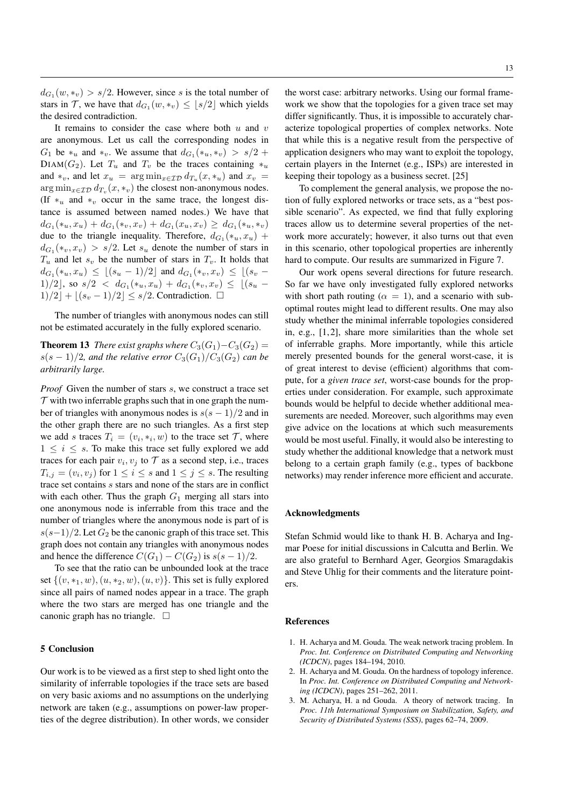$d_{G_1}(w, *_{v}) > s/2$ . However, since s is the total number of stars in  $\mathcal{T}$ , we have that  $d_{G_1}(w, *_{v}) \leq \lfloor s/2 \rfloor$  which yields the desired contradiction.

It remains to consider the case where both  $u$  and  $v$ are anonymous. Let us call the corresponding nodes in  $G_1$  be  $*_u$  and  $*_v$ . We assume that  $d_{G_1}(*_u, *_v) > s/2 +$ DIAM( $G_2$ ). Let  $T_u$  and  $T_v$  be the traces containing  $*_u$ and  $*_v$ , and let  $x_u = \arg \min_{x \in \mathcal{ID}} d_{T_u}(x, *_u)$  and  $x_v =$  $\argmin_{x \in \mathcal{ID}} d_{T_v}(x, \ast_v)$  the closest non-anonymous nodes. (If  $*_u$  and  $*_v$  occur in the same trace, the longest distance is assumed between named nodes.) We have that  $d_{G_1}(\ast_u, x_u) + d_{G_1}(\ast_v, x_v) + d_{G_1}(x_u, x_v) \geq d_{G_1}(\ast_u, \ast_v)$ due to the triangle inequality. Therefore,  $d_{G_1}(\ast_u, x_u)$  +  $d_{G_1}(\ast_v, x_v) > s/2$ . Let  $s_u$  denote the number of stars in  $T_u$  and let  $s_v$  be the number of stars in  $T_v$ . It holds that  $d_{G_1}(*_u, x_u) \leq \lfloor (s_u - 1)/2 \rfloor$  and  $d_{G_1}(*_v, x_v) \leq \lfloor (s_v -$ 1)/2], so  $s/2$  <  $d_{G_1}(*_u,x_u) + d_{G_1}(*_v,x_v) \leq |(s_u 1)/2$  +  $|(s_v - 1)/2| \leq s/2$ . Contradiction.  $\square$ 

The number of triangles with anonymous nodes can still not be estimated accurately in the fully explored scenario.

**Theorem 13** *There exist graphs where*  $C_3(G_1) - C_3(G_2) =$  $s(s-1)/2$ , and the relative error  $C_3(G_1)/C_3(G_2)$  can be *arbitrarily large.*

*Proof* Given the number of stars s, we construct a trace set  $\mathcal T$  with two inferrable graphs such that in one graph the number of triangles with anonymous nodes is  $s(s - 1)/2$  and in the other graph there are no such triangles. As a first step we add s traces  $T_i = (v_i, \ast_i, w)$  to the trace set  $\mathcal{T}$ , where  $1 \leq i \leq s$ . To make this trace set fully explored we add traces for each pair  $v_i, v_j$  to  $\mathcal T$  as a second step, i.e., traces  $T_{i,j} = (v_i, v_j)$  for  $1 \le i \le s$  and  $1 \le j \le s$ . The resulting trace set contains s stars and none of the stars are in conflict with each other. Thus the graph  $G_1$  merging all stars into one anonymous node is inferrable from this trace and the number of triangles where the anonymous node is part of is  $s(s-1)/2$ . Let  $G_2$  be the canonic graph of this trace set. This graph does not contain any triangles with anonymous nodes and hence the difference  $C(G_1) - C(G_2)$  is  $s(s-1)/2$ .

To see that the ratio can be unbounded look at the trace set  $\{(v, *_1, w), (u, *_2, w), (u, v)\}.$  This set is fully explored since all pairs of named nodes appear in a trace. The graph where the two stars are merged has one triangle and the canonic graph has no triangle.  $\Box$ 

# 5 Conclusion

Our work is to be viewed as a first step to shed light onto the similarity of inferrable topologies if the trace sets are based on very basic axioms and no assumptions on the underlying network are taken (e.g., assumptions on power-law properties of the degree distribution). In other words, we consider

the worst case: arbitrary networks. Using our formal framework we show that the topologies for a given trace set may differ significantly. Thus, it is impossible to accurately characterize topological properties of complex networks. Note that while this is a negative result from the perspective of application designers who may want to exploit the topology, certain players in the Internet (e.g., ISPs) are interested in keeping their topology as a business secret. [25]

To complement the general analysis, we propose the notion of fully explored networks or trace sets, as a "best possible scenario". As expected, we find that fully exploring traces allow us to determine several properties of the network more accurately; however, it also turns out that even in this scenario, other topological properties are inherently hard to compute. Our results are summarized in Figure 7.

Our work opens several directions for future research. So far we have only investigated fully explored networks with short path routing ( $\alpha = 1$ ), and a scenario with suboptimal routes might lead to different results. One may also study whether the minimal inferrable topologies considered in, e.g.,  $[1, 2]$ , share more similarities than the whole set of inferrable graphs. More importantly, while this article merely presented bounds for the general worst-case, it is of great interest to devise (efficient) algorithms that compute, for a *given trace set*, worst-case bounds for the properties under consideration. For example, such approximate bounds would be helpful to decide whether additional measurements are needed. Moreover, such algorithms may even give advice on the locations at which such measurements would be most useful. Finally, it would also be interesting to study whether the additional knowledge that a network must belong to a certain graph family (e.g., types of backbone networks) may render inference more efficient and accurate.

#### Acknowledgments

Stefan Schmid would like to thank H. B. Acharya and Ingmar Poese for initial discussions in Calcutta and Berlin. We are also grateful to Bernhard Ager, Georgios Smaragdakis and Steve Uhlig for their comments and the literature pointers.

## References

- 1. H. Acharya and M. Gouda. The weak network tracing problem. In *Proc. Int. Conference on Distributed Computing and Networking (ICDCN)*, pages 184–194, 2010.
- 2. H. Acharya and M. Gouda. On the hardness of topology inference. In *Proc. Int. Conference on Distributed Computing and Networking (ICDCN)*, pages 251–262, 2011.
- 3. M. Acharya, H. a nd Gouda. A theory of network tracing. In *Proc. 11th International Symposium on Stabilization, Safety, and Security of Distributed Systems (SSS)*, pages 62–74, 2009.